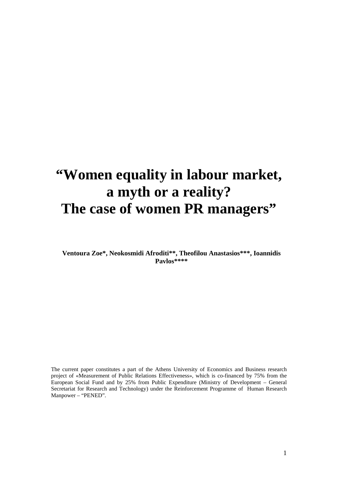# **"Women equality in labour market, a myth or a reality? The case of women PR managers"**

**Ventoura Zoe\*, Neokosmidi Afroditi\*\*, Theofilou Anastasios\*\*\*, Ioannidis Pavlos\*\*\*\*** 

The current paper constitutes a part of the Athens University of Economics and Business research project of «Measurement of Public Relations Effectiveness», which is co-financed by 75% from the European Social Fund and by 25% from Public Expenditure (Ministry of Development – General Secretariat for Research and Technology) under the Reinforcement Programme of Human Research Manpower – "PENED".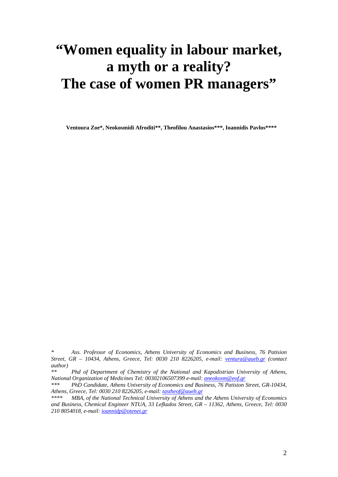# **"Women equality in labour market, a myth or a reality? The case of women PR managers"**

**Ventoura Zoe\*, Neokosmidi Afroditi\*\*, Theofilou Anastasios\*\*\*, Ioannidis Pavlos\*\*\*\*** 

*\* Ass. Professor of Economics, Athens University of Economics and Business, 76 Patision Street, GR – 10434, Athens, Greece, Tel: 0030 210 8226205, e-mail: ventura@aueb.gr (contact author)*

*\*\* Phd of Department of Chemistry of the National and Kapodistrian University of Athens, National Organization of Medicines Tel: 00302106507399 e-mail: aneokosm@eof.gr* 

*\*\*\* PhD Candidate, Athens University of Economics and Business, 76 Patision Street, GR*-*10434, Athens, Greece, Tel: 0030 210 8226205, e-mail: tastheof@aueb.gr*

*\*\*\*\* MBA, of the National Technical University of Athens and the Athens University of Economics and Business, Chemical Engineer NTUA, 33 Lefkados Street, GR – 11362, Athens, Greece, Tel: 0030 210 8054018, e-mail: ioannidp@otenet.gr*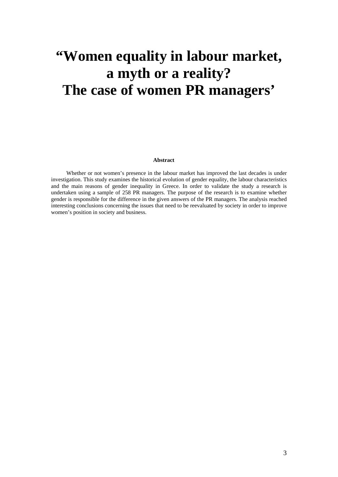# **"Women equality in labour market, a myth or a reality? The case of women PR managers'**

### **Abstract**

Whether or not women's presence in the labour market has improved the last decades is under investigation. This study examines the historical evolution of gender equality, the labour characteristics and the main reasons of gender inequality in Greece. In order to validate the study a research is undertaken using a sample of 258 PR managers. The purpose of the research is to examine whether gender is responsible for the difference in the given answers of the PR managers. The analysis reached interesting conclusions concerning the issues that need to be reevaluated by society in order to improve women's position in society and business.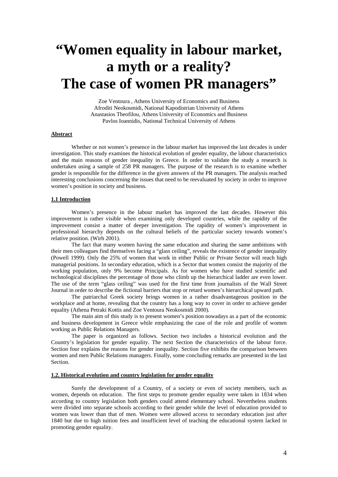# **"Women equality in labour market, a myth or a reality? The case of women PR managers"**

Zoe Ventoura , Athens University of Economics and Business Afroditi Neokosmidi, National Kapodistrian University of Athens Anastasios Theofilou, Athens University of Economics and Business Pavlos Ioannidis, National Technical University of Athens

## **Abstract**

Whether or not women's presence in the labour market has improved the last decades is under investigation. This study examines the historical evolution of gender equality, the labour characteristics and the main reasons of gender inequality in Greece. In order to validate the study a research is undertaken using a sample of 258 PR managers. The purpose of the research is to examine whether gender is responsible for the difference in the given answers of the PR managers. The analysis reached interesting conclusions concerning the issues that need to be reevaluated by society in order to improve women's position in society and business.

## **1.1 Introduction**

Women's presence in the labour market has improved the last decades. However this improvement is rather visible when examining only developed countries, while the rapidity of the improvement consist a matter of deeper investigation. The rapidity of women's improvement in professional hierarchy depends on the cultural beliefs of the particular society towards women's relative position. (Wirh 2001).

The fact that many women having the same education and sharing the same ambitions with their men colleagues find themselves facing a "glass ceiling", reveals the existence of gender inequality (Powell 1999). Only the 25% of women that work in either Public or Private Sector will reach high managerial positions. In secondary education, which is a Sector that women consist the majority of the working population, only 9% become Principals. As for women who have studied scientific and technological disciplines the percentage of those who climb up the hierarchical ladder are even lower. The use of the term "glass ceiling" was used for the first time from journalists of the Wall Street Journal in order to describe the fictional barriers that stop or retard women's hierarchical upward path.

The patriarchal Greek society brings women in a rather disadvantageous position in the workplace and at home, revealing that the country has a long way to cover in order to achieve gender equality (Athena Petraki Kottis and Zoe Ventoura Neokosmidi 2000).

The main aim of this study is to present women's position nowadays as a part of the economic and business development in Greece while emphasizing the case of the role and profile of women working as Public Relations Managers.

The paper is organized as follows. Section two includes a historical evolution and the Country's legislation for gender equality. The next Section the characteristics of the labour force. Section four explains the reasons for gender inequality. Section five exhibits the comparison between women and men Public Relations managers. Finally, some concluding remarks are presented in the last Section.

### **1.2. Historical evolution and country legislation for gender equality**

Surely the development of a Country, of a society or even of society members, such as women, depends on education. The first steps to promote gender equality were taken in 1834 when according to country legislation both genders could attend elementary school. Nevertheless students were divided into separate schools according to their gender while the level of education provided to women was lower than that of men. Women were allowed access to secondary education just after 1840 but due to high tuition fees and insufficient level of teaching the educational system lacked in promoting gender equality.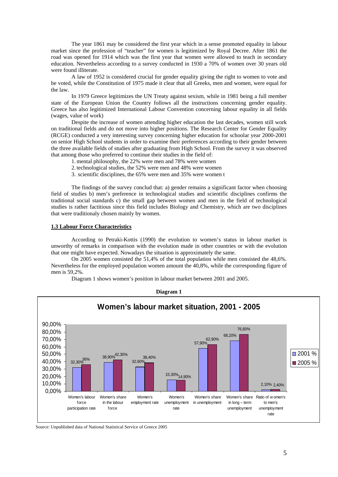The year 1861 may be considered the first year which in a sense promoted equality in labour market since the profession of "teacher" for women is legitimized by Royal Decree. After 1861 the road was opened for 1914 which was the first year that women were allowed to teach in secondary education. Nevertheless according to a survey conducted in 1930 a 70% of women over 30 years old were found illiterate.

A law of 1952 is considered crucial for gender equality giving the right to women to vote and be voted, while the Constitution of 1975 made it clear that all Greeks, men and women, were equal for the law.

In 1979 Greece legitimizes the UN Treaty against sexism, while in 1981 being a full member state of the European Union the Country follows all the instructions concerning gender equality. Greece has also legitimized International Labour Convention concerning labour equality in all fields (wages, value of work)

Despite the increase of women attending higher education the last decades, women still work on traditional fields and do not move into higher positions. The Research Center for Gender Equality (RCGE) conducted a very interesting survey concerning higher education for schoolar year 2000-2001 on senior High School students in order to examine their preferences according to their gender between the three available fields of studies after graduating from High School. From the survey it was observed that among those who preferred to continue their studies in the field of:

1.mental philosophy, the 22% were men and 78% were women

- 2. technological studies, the 52% were men and 48% were women
- 3. scientific disciplines, the 65% were men and 35% were women t

The findings of the survey conclud that: a) gender remains a significant factor when choosing field of studies b) men's preference in technological studies and scientific disciplines confirms the traditional social standards c) the small gap between women and men in the field of technological studies is rather factitious since this field includes Biology and Chemistry, which are two disciplines that were traditionaly chosen mainly by women.

### **1.3 Labour Force Characteristics**

According to Petraki-Kottis (1990) the evolution to women's status in labour market is unworthy of remarks in comparison with the evolution made in other countries or with the evolution that one might have expected. Nowadays the situation is approximately the same.

On 2005 women consisted the 51,4% of the total population while men consisted the 48,6%. Nevertheless for the employed population women amount the 40,8%, while the corresponding figure of men is 59,2%.

Diagram 1 shows women's position in labour market between 2001 and 2005.



**Diagram 1** 

Source: Unpublished data of National Statistical Service of Greece 2005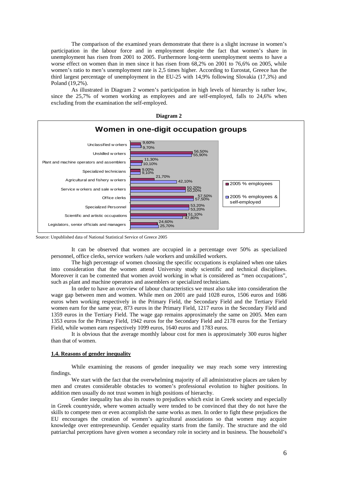The comparison of the examined years demonstrate that there is a slight increase in women's participation in the labour force and in employment despite the fact that women's share in unemployment has risen from 2001 to 2005. Furthermore long-term unemployment seems to have a worse effect on women than in men since it has risen from 68,2% on 2001 to 76,6% on 2005, while women's ratio to men's unemployment rate is 2,5 times higher. According to Eurostat, Greece has the third largest percentage of unemployment in the EU-25 with 14,9% following Slovakia (17,3%) and Poland (19,2%).

As illustrated in Diagram 2 women's participation in high levels of hierarchy is rather low, since the 25,7% of women working as employees and are self-employed, falls to 24,6% when excluding from the examination the self-employed.





Source: Unpublished data of National Statistical Service of Greece 2005

It can be observed that women are occupied in a percentage over 50% as specialized personnel, office clerks, service workers /sale workers and unskilled workers.

The high percentage of women choosing the specific occupations is explained when one takes into consideration that the women attend University study scientific and technical disciplines. Moreover it can be comented that women avoid working in what is considered as "men occupations", such as plant and machine operators and assemblers or specialized technicians.

In order to have an overview of labour characteristics we must also take into consideration the wage gap between men and women. While men on 2001 are paid 1028 euros, 1506 euros and 1686 euros when working respectively in the Primary Field, the Secondary Field and the Tertiary Field women earn for the same year, 873 euros in the Primary Field, 1217 euros in the Secondary Field and 1359 euros in the Tertiary Field. The wage gap remains approximately the same on 2005. Men earn 1353 euros for the Primary Field, 1942 euros for the Secondary Field and 2178 euros for the Tertiary Field, while women earn respectively 1099 euros, 1640 euros and 1783 euros.

It is obvious that the average monthly labour cost for men is approximately 300 euros higher than that of women.

### **1.4. Reasons of gender inequality**

While examining the reasons of gender inequality we may reach some very interesting findings.

We start with the fact that the overwhelming majority of all administrative places are taken by men and creates considerable obstacles to women's professional evolution to higher positions. In addition men usually do not trust women in high positions of hierarchy.

Gender inequality has also its routes to prejudices which exist in Greek society and especially in Greek countryside, where women actually were tended to be convinced that they do not have the skills to compete men or even accomplish the same works as men. In order to fight these prejudices the EU encourages the creation of women's agricultural associations so that women may acquire knowledge over entrepreneurship. Gender equality starts from the family. The structure and the old patriarchal perceptions have given women a secondary role in society and in business. The household's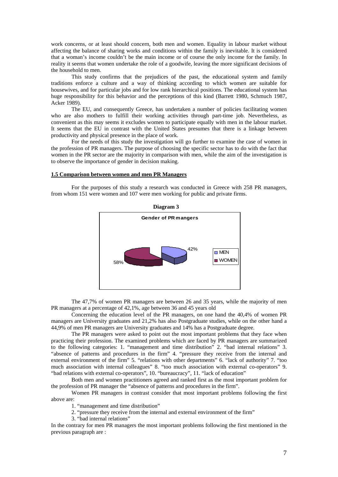work concerns, or at least should concern, both men and women. Equality in labour market without affecting the balance of sharing works and conditions within the family is inevitable. It is considered that a woman's income couldn't be the main income or of course the only income for the family. In reality it seems that women undertake the role of a goodwife, leaving the more significant decisions of the household to men.

This study confirms that the prejudices of the past, the educational system and family traditions enforce a culture and a way of thinking according to which women are suitable for housewives, and for particular jobs and for low rank hierarchical positions. The educational system has huge responsibility for this behavior and the perceptions of this kind (Barrett 1980, Schmuch 1987, Acker 1989).

The EU, and consequently Greece, has undertaken a number of policies facilitating women who are also mothers to fulfill their working activities through part-time job. Nevertheless, as convenient as this may seems it excludes women to participate equally with men in the labour market. It seems that the EU in contrast with the United States presumes that there is a linkage between productivity and physical presence in the place of work.

 For the needs of this study the investigation will go further to examine the case of women in the profession of PR managers. The purpose of choosing the specific sector has to do with the fact that women in the PR sector are the majority in comparison with men, while the aim of the investigation is to observe the importance of gender in decision making.

## **1.5 Comparison between women and men PR Managers**

 For the purposes of this study a research was conducted in Greece with 258 PR managers, from whom 151 were women and 107 were men working for public and private firms.



 The 47,7% of women PR managers are between 26 and 35 years, while the majority of men PR managers at a percentage of 42,1%, age between 36 and 45 years old

 Concerning the education level of the PR managers, on one hand the 40,4% of women PR managers are University graduates and 21,2% has also Postgraduate studies, while on the other hand a 44,9% of men PR managers are University graduates and 14% has a Postgraduate degree.

The PR managers were asked to point out the most important problems that they face when practicing their profession. The examined problems which are faced by PR managers are summarized to the following categories: 1. "management and time distribution" 2. "bad internal relations" 3. "absence of patterns and procedures in the firm" 4. "pressure they receive from the internal and external environment of the firm" 5. "relations with other departments" 6. "lack of authority" 7. "too much association with internal colleagues" 8. "too much association with external co-operators" 9. "bad relations with external co-operators", 10. "bureaucracy", 11. "lack of education"

Both men and women practitioners agreed and ranked first as the most important problem for the profession of PR manager the "absence of patterns and procedures in the firm".

Women PR managers in contrast consider that most important problems following the first above are:

1. "management and time distribution"

2. "pressure they receive from the internal and external environment of the firm"

3. "bad internal relations"

In the contrary for men PR managers the most important problems following the first mentioned in the previous paragraph are :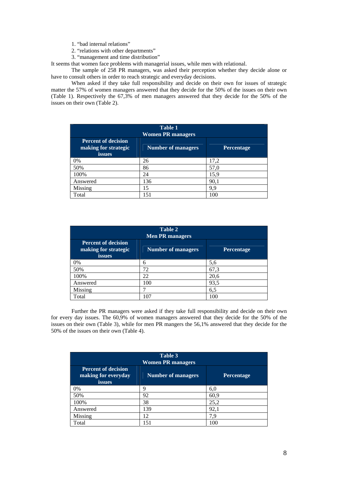1. "bad internal relations"

- 2. "relations with other departments"
- 3. "management and time distribution"

It seems that women face problems with managerial issues, while men with relational.

The sample of 258 PR managers, was asked their perception whether they decide alone or have to consult others in order to reach strategic and everyday decisions.

When asked if they take full responsibility and decide on their own for issues of strategic matter the 57% of women managers answered that they decide for the 50% of the issues on their own (Table 1). Respectively the 67,3% of men managers answered that they decide for the 50% of the issues on their own (Table 2).

| <b>Table 1</b><br><b>Women PR managers</b>                   |                           |                   |  |  |
|--------------------------------------------------------------|---------------------------|-------------------|--|--|
| <b>Percent of decision</b><br>making for strategic<br>issues | <b>Number of managers</b> | <b>Percentage</b> |  |  |
| 0%                                                           | 26                        | 17,2              |  |  |
| 50%                                                          | 86                        | 57,0              |  |  |
| 100%                                                         | 24                        | 15,9              |  |  |
| Answered                                                     | 136                       | 90,1              |  |  |
| Missing                                                      | 15                        | 9,9               |  |  |
| Total                                                        | 151                       | 100               |  |  |

| Table 2<br><b>Men PR managers</b>                            |                           |            |  |  |
|--------------------------------------------------------------|---------------------------|------------|--|--|
| <b>Percent of decision</b><br>making for strategic<br>issues | <b>Number of managers</b> | Percentage |  |  |
| 0%                                                           | 6                         | 5,6        |  |  |
| 50%                                                          | 72                        | 67,3       |  |  |
| 100%                                                         | 22                        | 20,6       |  |  |
| Answered                                                     | 100                       | 93,5       |  |  |
| Missing                                                      |                           | 6,5        |  |  |
| Total                                                        | 107                       | 100        |  |  |

Further the PR managers were asked if they take full responsibility and decide on their own for every day issues. The 60,9% of women managers answered that they decide for the 50% of the issues on their own (Table 3), while for men PR mangers the 56,1% answered that they decide for the 50% of the issues on their own (Table 4).

| Table 3<br><b>Women PR managers</b>                                |                           |            |  |  |
|--------------------------------------------------------------------|---------------------------|------------|--|--|
| <b>Percent of decision</b><br>making for everyday<br><i>issues</i> | <b>Number of managers</b> | Percentage |  |  |
| 0%                                                                 | 9                         | 6,0        |  |  |
| 50%                                                                | 92                        | 60,9       |  |  |
| 100%                                                               | 38                        | 25,2       |  |  |
| Answered                                                           | 139                       | 92,1       |  |  |
| Missing                                                            | 12                        | 7.9        |  |  |
| Total                                                              | 151                       | 100        |  |  |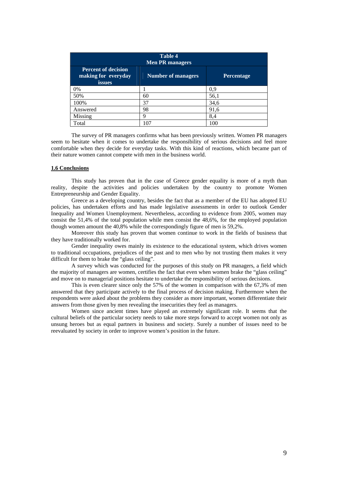| <b>Table 4</b><br><b>Men PR managers</b>                           |                           |                   |  |  |
|--------------------------------------------------------------------|---------------------------|-------------------|--|--|
| <b>Percent of decision</b><br>making for everyday<br><i>issues</i> | <b>Number of managers</b> | <b>Percentage</b> |  |  |
| 0%                                                                 |                           | 0,9               |  |  |
| 50%                                                                | 60                        | 56,1              |  |  |
| 100%                                                               | 37                        | 34,6              |  |  |
| Answered                                                           | 98                        | 91,6              |  |  |
| Missing                                                            | q                         | 8,4               |  |  |
| Total                                                              | 107                       | 100               |  |  |

The survey of PR managers confirms what has been previously written. Women PR managers seem to hesitate when it comes to undertake the responsibility of serious decisions and feel more comfortable when they decide for everyday tasks. With this kind of reactions, which became part of their nature women cannot compete with men in the business world.

#### **1.6 Conclusions**

 This study has proven that in the case of Greece gender equality is more of a myth than reality, despite the activities and policies undertaken by the country to promote Women Entrepreneurship and Gender Equality.

Greece as a developing country, besides the fact that as a member of the EU has adopted EU policies, has undertaken efforts and has made legislative assessments in order to outlook Gender Inequality and Women Unemployment. Nevertheless, according to evidence from 2005, women may consist the 51,4% of the total population while men consist the 48,6%, for the employed population though women amount the 40,8% while the correspondingly figure of men is 59,2%.

Moreover this study has proven that women continue to work in the fields of business that they have traditionally worked for.

Gender inequality owes mainly its existence to the educational system, which drives women to traditional occupations, prejudices of the past and to men who by not trusting them makes it very difficult for them to brake the "glass ceiling".

A survey which was conducted for the purposes of this study on PR managers, a field which the majority of managers are women, certifies the fact that even when women brake the "glass ceiling" and move on to managerial positions hesitate to undertake the responsibility of serious decisions.

This is even clearer since only the 57% of the women in comparison with the 67,3% of men answered that they participate actively to the final process of decision making. Furthermore when the respondents were asked about the problems they consider as more important, women differentiate their answers from those given by men revealing the insecurities they feel as managers.

Women since ancient times have played an extremely significant role. It seems that the cultural beliefs of the particular society needs to take more steps forward to accept women not only as unsung heroes but as equal partners in business and society. Surely a number of issues need to be reevaluated by society in order to improve women's position in the future.